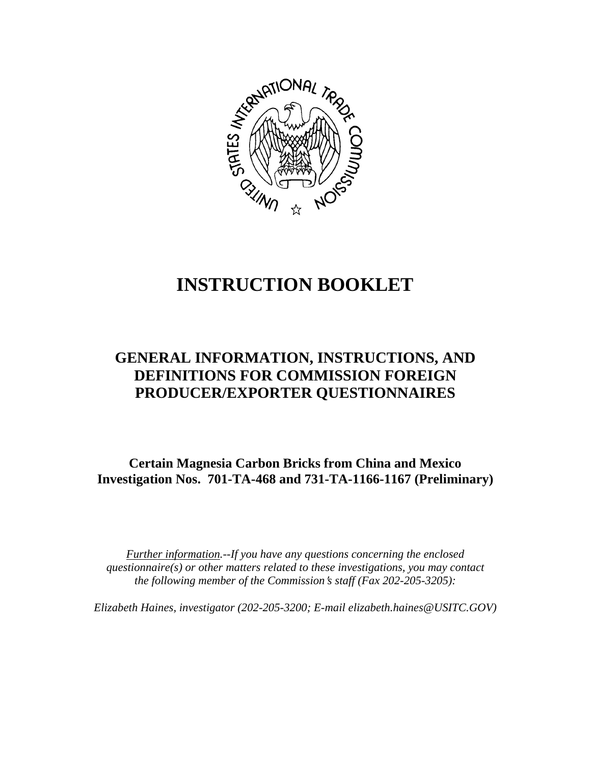

# **INSTRUCTION BOOKLET**

# **GENERAL INFORMATION, INSTRUCTIONS, AND DEFINITIONS FOR COMMISSION FOREIGN PRODUCER/EXPORTER QUESTIONNAIRES**

**Certain Magnesia Carbon Bricks from China and Mexico Investigation Nos. 701-TA-468 and 731-TA-1166-1167 (Preliminary)**

*Further information.--If you have any questions concerning the enclosed questionnaire(s) or other matters related to these investigations, you may contact the following member of the Commission*=*s staff (Fax 202-205-3205):* 

*Elizabeth Haines, investigator (202-205-3200; E-mail elizabeth.haines@USITC.GOV)*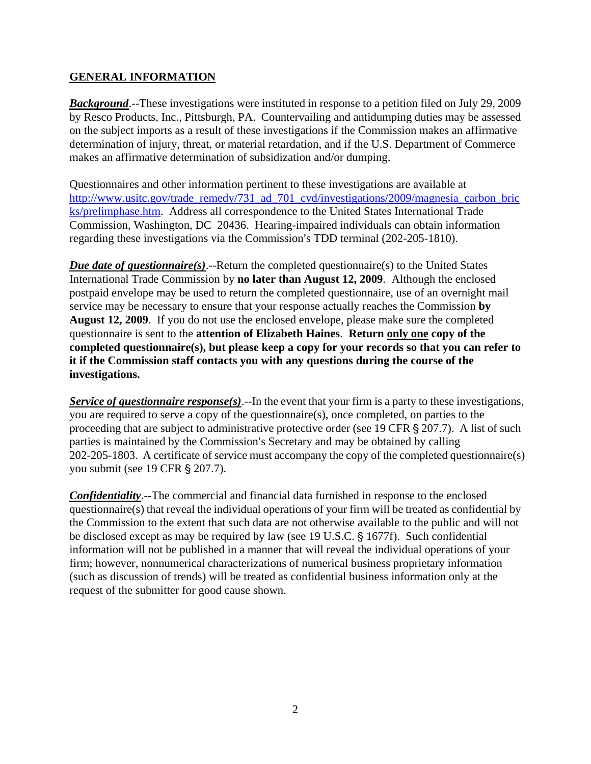# **GENERAL INFORMATION**

*Background*.--These investigations were instituted in response to a petition filed on July 29, 2009 by Resco Products, Inc., Pittsburgh, PA. Countervailing and antidumping duties may be assessed on the subject imports as a result of these investigations if the Commission makes an affirmative determination of injury, threat, or material retardation, and if the U.S. Department of Commerce makes an affirmative determination of subsidization and/or dumping.

Questionnaires and other information pertinent to these investigations are available at http://www.usitc.gov/trade\_remedy/731\_ad\_701\_cvd/investigations/2009/magnesia\_carbon\_bric ks/prelimphase.htm. Address all correspondence to the United States International Trade Commission, Washington, DC 20436. Hearing-impaired individuals can obtain information regarding these investigations via the Commission's TDD terminal (202-205-1810).

*Due date of questionnaire(s)*.--Return the completed questionnaire(s) to the United States International Trade Commission by **no later than August 12, 2009**. Although the enclosed postpaid envelope may be used to return the completed questionnaire, use of an overnight mail service may be necessary to ensure that your response actually reaches the Commission **by August 12, 2009**. If you do not use the enclosed envelope, please make sure the completed questionnaire is sent to the **attention of Elizabeth Haines**. **Return only one copy of the completed questionnaire(s), but please keep a copy for your records so that you can refer to it if the Commission staff contacts you with any questions during the course of the investigations.**

*Service of questionnaire response(s)*.--In the event that your firm is a party to these investigations, you are required to serve a copy of the questionnaire(s), once completed, on parties to the proceeding that are subject to administrative protective order (see 19 CFR  $\S 207.7$ ). A list of such parties is maintained by the Commission's Secretary and may be obtained by calling 202-205-1803. A certificate of service must accompany the copy of the completed questionnaire(s) you submit (see 19 CFR § 207.7).

*Confidentiality*.--The commercial and financial data furnished in response to the enclosed questionnaire(s) that reveal the individual operations of your firm will be treated as confidential by the Commission to the extent that such data are not otherwise available to the public and will not be disclosed except as may be required by law (see 19 U.S.C.  $\S$  1677f). Such confidential information will not be published in a manner that will reveal the individual operations of your firm; however, nonnumerical characterizations of numerical business proprietary information (such as discussion of trends) will be treated as confidential business information only at the request of the submitter for good cause shown.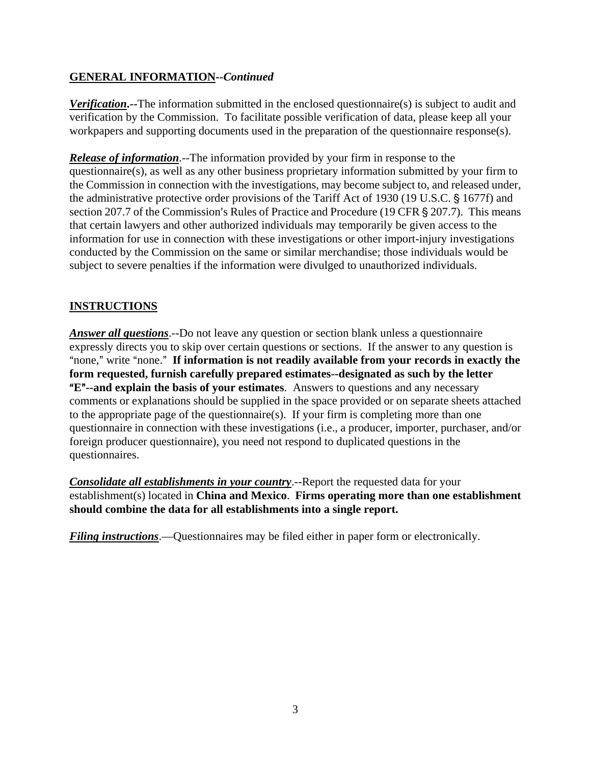# **GENERAL INFORMATION--***Continued*

*Verification*.--The information submitted in the enclosed questionnaire(s) is subject to audit and verification by the Commission. To facilitate possible verification of data, please keep all your workpapers and supporting documents used in the preparation of the questionnaire response(s).

*Release of information*.--The information provided by your firm in response to the questionnaire(s), as well as any other business proprietary information submitted by your firm to the Commission in connection with the investigations, may become subject to, and released under, the administrative protective order provisions of the Tariff Act of 1930 (19 U.S.C. § 1677f) and section 207.7 of the Commission's Rules of Practice and Procedure (19 CFR § 207.7). This means that certain lawyers and other authorized individuals may temporarily be given access to the information for use in connection with these investigations or other import-injury investigations conducted by the Commission on the same or similar merchandise; those individuals would be subject to severe penalties if the information were divulged to unauthorized individuals.

# **INSTRUCTIONS**

*Answer all questions*.--Do not leave any question or section blank unless a questionnaire expressly directs you to skip over certain questions or sections. If the answer to any question is "none," write "none." If information is not readily available from your records in exactly the **form requested, furnish carefully prepared estimates--designated as such by the letter E<sup>"</sup>--and explain the basis of your estimates**. Answers to questions and any necessary comments or explanations should be supplied in the space provided or on separate sheets attached to the appropriate page of the questionnaire(s). If your firm is completing more than one questionnaire in connection with these investigations (i.e., a producer, importer, purchaser, and/or foreign producer questionnaire), you need not respond to duplicated questions in the questionnaires.

*Consolidate all establishments in your country*.--Report the requested data for your establishment(s) located in **China and Mexico**. **Firms operating more than one establishment should combine the data for all establishments into a single report.** 

*Filing instructions*.—Questionnaires may be filed either in paper form or electronically.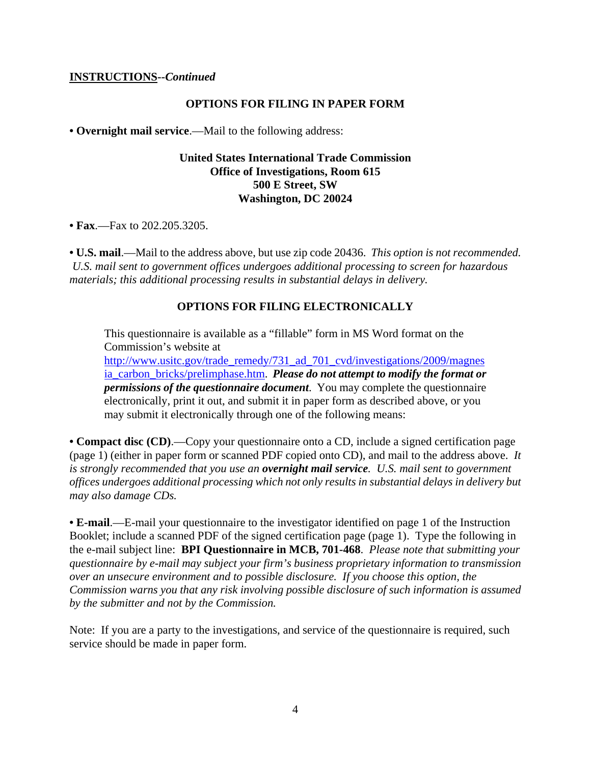#### **INSTRUCTIONS--***Continued*

#### **OPTIONS FOR FILING IN PAPER FORM**

**• Overnight mail service**.—Mail to the following address:

### **United States International Trade Commission Office of Investigations, Room 615 500 E Street, SW Washington, DC 20024**

**• Fax**.—Fax to 202.205.3205.

**• U.S. mail**.—Mail to the address above, but use zip code 20436. *This option is not recommended. U.S. mail sent to government offices undergoes additional processing to screen for hazardous materials; this additional processing results in substantial delays in delivery.* 

#### **OPTIONS FOR FILING ELECTRONICALLY**

This questionnaire is available as a "fillable" form in MS Word format on the Commission's website at

http://www.usitc.gov/trade\_remedy/731\_ad\_701\_cvd/investigations/2009/magnes ia\_carbon\_bricks/prelimphase.htm. *Please do not attempt to modify the format or permissions of the questionnaire document*. You may complete the questionnaire electronically, print it out, and submit it in paper form as described above, or you may submit it electronically through one of the following means:

**• Compact disc (CD)**.—Copy your questionnaire onto a CD, include a signed certification page (page 1) (either in paper form or scanned PDF copied onto CD), and mail to the address above. *It is strongly recommended that you use an overnight mail service. U.S. mail sent to government offices undergoes additional processing which not only results in substantial delays in delivery but may also damage CDs.* 

**• E-mail**.—E-mail your questionnaire to the investigator identified on page 1 of the Instruction Booklet; include a scanned PDF of the signed certification page (page 1). Type the following in the e-mail subject line: **BPI Questionnaire in MCB, 701-468**. *Please note that submitting your questionnaire by e-mail may subject your firm's business proprietary information to transmission over an unsecure environment and to possible disclosure. If you choose this option, the Commission warns you that any risk involving possible disclosure of such information is assumed by the submitter and not by the Commission.* 

Note: If you are a party to the investigations, and service of the questionnaire is required, such service should be made in paper form.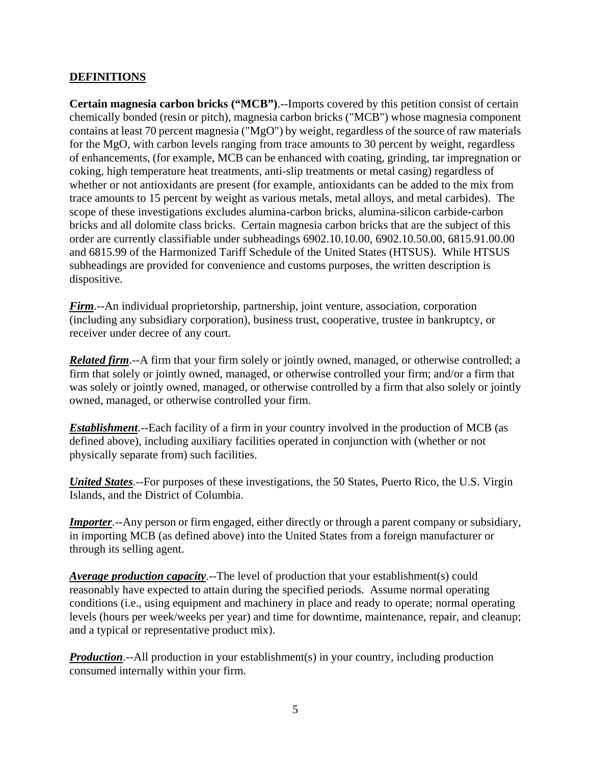# **DEFINITIONS**

**Certain magnesia carbon bricks ("MCB")**.--Imports covered by this petition consist of certain chemically bonded (resin or pitch), magnesia carbon bricks ("MCB") whose magnesia component contains at least 70 percent magnesia ("MgO") by weight, regardless of the source of raw materials for the MgO, with carbon levels ranging from trace amounts to 30 percent by weight, regardless of enhancements, (for example, MCB can be enhanced with coating, grinding, tar impregnation or coking, high temperature heat treatments, anti-slip treatments or metal casing) regardless of whether or not antioxidants are present (for example, antioxidants can be added to the mix from trace amounts to 15 percent by weight as various metals, metal alloys, and metal carbides). The scope of these investigations excludes alumina-carbon bricks, alumina-silicon carbide-carbon bricks and all dolomite class bricks. Certain magnesia carbon bricks that are the subject of this order are currently classifiable under subheadings 6902.10.10.00, 6902.10.50.00, 6815.91.00.00 and 6815.99 of the Harmonized Tariff Schedule of the United States (HTSUS). While HTSUS subheadings are provided for convenience and customs purposes, the written description is dispositive.

*Firm*.--An individual proprietorship, partnership, joint venture, association, corporation (including any subsidiary corporation), business trust, cooperative, trustee in bankruptcy, or receiver under decree of any court.

*Related firm*.--A firm that your firm solely or jointly owned, managed, or otherwise controlled; a firm that solely or jointly owned, managed, or otherwise controlled your firm; and/or a firm that was solely or jointly owned, managed, or otherwise controlled by a firm that also solely or jointly owned, managed, or otherwise controlled your firm.

*Establishment*.--Each facility of a firm in your country involved in the production of MCB (as defined above), including auxiliary facilities operated in conjunction with (whether or not physically separate from) such facilities.

*United States*.--For purposes of these investigations, the 50 States, Puerto Rico, the U.S. Virgin Islands, and the District of Columbia.

*Importer*.--Any person or firm engaged, either directly or through a parent company or subsidiary, in importing MCB (as defined above) into the United States from a foreign manufacturer or through its selling agent.

*Average production capacity*.--The level of production that your establishment(s) could reasonably have expected to attain during the specified periods. Assume normal operating conditions (i.e., using equipment and machinery in place and ready to operate; normal operating levels (hours per week/weeks per year) and time for downtime, maintenance, repair, and cleanup; and a typical or representative product mix).

*Production*.--All production in your establishment(s) in your country, including production consumed internally within your firm.